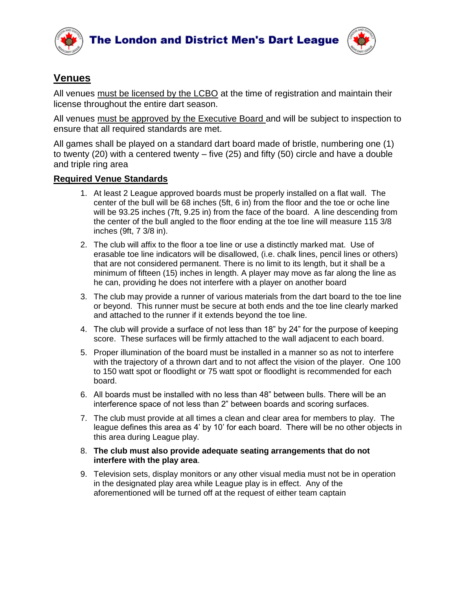



## **Venues**

All venues must be licensed by the LCBO at the time of registration and maintain their license throughout the entire dart season.

All venues must be approved by the Executive Board and will be subject to inspection to ensure that all required standards are met.

All games shall be played on a standard dart board made of bristle, numbering one (1) to twenty (20) with a centered twenty – five (25) and fifty (50) circle and have a double and triple ring area

## **Required Venue Standards**

- 1. At least 2 League approved boards must be properly installed on a flat wall. The center of the bull will be 68 inches (5ft, 6 in) from the floor and the toe or oche line will be 93.25 inches (7ft, 9.25 in) from the face of the board. A line descending from the center of the bull angled to the floor ending at the toe line will measure 115 3/8 inches (9ft, 7 3/8 in).
- 2. The club will affix to the floor a toe line or use a distinctly marked mat. Use of erasable toe line indicators will be disallowed, (i.e. chalk lines, pencil lines or others) that are not considered permanent. There is no limit to its length, but it shall be a minimum of fifteen (15) inches in length. A player may move as far along the line as he can, providing he does not interfere with a player on another board
- 3. The club may provide a runner of various materials from the dart board to the toe line or beyond. This runner must be secure at both ends and the toe line clearly marked and attached to the runner if it extends beyond the toe line.
- 4. The club will provide a surface of not less than 18" by 24" for the purpose of keeping score. These surfaces will be firmly attached to the wall adjacent to each board.
- 5. Proper illumination of the board must be installed in a manner so as not to interfere with the trajectory of a thrown dart and to not affect the vision of the player. One 100 to 150 watt spot or floodlight or 75 watt spot or floodlight is recommended for each board.
- 6. All boards must be installed with no less than 48" between bulls. There will be an interference space of not less than 2" between boards and scoring surfaces.
- 7. The club must provide at all times a clean and clear area for members to play. The league defines this area as 4' by 10' for each board. There will be no other objects in this area during League play.
- 8. **The club must also provide adequate seating arrangements that do not interfere with the play area**.
- 9. Television sets, display monitors or any other visual media must not be in operation in the designated play area while League play is in effect. Any of the aforementioned will be turned off at the request of either team captain